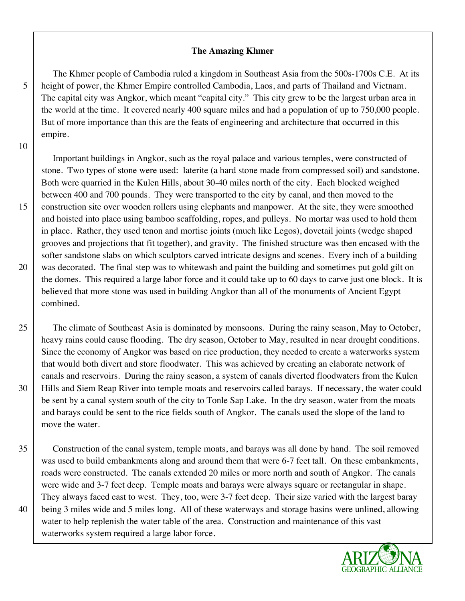#### **The Amazing Khmer**

 The Khmer people of Cambodia ruled a kingdom in Southeast Asia from the 500s-1700s C.E. At its 5 height of power, the Khmer Empire controlled Cambodia, Laos, and parts of Thailand and Vietnam. The capital city was Angkor, which meant "capital city." This city grew to be the largest urban area in the world at the time. It covered nearly 400 square miles and had a population of up to 750,000 people. But of more importance than this are the feats of engineering and architecture that occurred in this empire.

#### 10

 Important buildings in Angkor, such as the royal palace and various temples, were constructed of stone. Two types of stone were used: laterite (a hard stone made from compressed soil) and sandstone. Both were quarried in the Kulen Hills, about 30-40 miles north of the city. Each blocked weighed between 400 and 700 pounds. They were transported to the city by canal, and then moved to the 15 construction site over wooden rollers using elephants and manpower. At the site, they were smoothed and hoisted into place using bamboo scaffolding, ropes, and pulleys. No mortar was used to hold them in place. Rather, they used tenon and mortise joints (much like Legos), dovetail joints (wedge shaped grooves and projections that fit together), and gravity. The finished structure was then encased with the softer sandstone slabs on which sculptors carved intricate designs and scenes. Every inch of a building 20 was decorated. The final step was to whitewash and paint the building and sometimes put gold gilt on the domes. This required a large labor force and it could take up to 60 days to carve just one block. It is believed that more stone was used in building Angkor than all of the monuments of Ancient Egypt combined.

25 The climate of Southeast Asia is dominated by monsoons. During the rainy season, May to October, heavy rains could cause flooding. The dry season, October to May, resulted in near drought conditions. Since the economy of Angkor was based on rice production, they needed to create a waterworks system that would both divert and store floodwater. This was achieved by creating an elaborate network of canals and reservoirs. During the rainy season, a system of canals diverted floodwaters from the Kulen 30 Hills and Siem Reap River into temple moats and reservoirs called barays. If necessary, the water could be sent by a canal system south of the city to Tonle Sap Lake. In the dry season, water from the moats and barays could be sent to the rice fields south of Angkor. The canals used the slope of the land to move the water.

35 Construction of the canal system, temple moats, and barays was all done by hand. The soil removed was used to build embankments along and around them that were 6-7 feet tall. On these embankments, roads were constructed. The canals extended 20 miles or more north and south of Angkor. The canals were wide and 3-7 feet deep. Temple moats and barays were always square or rectangular in shape. They always faced east to west. They, too, were 3-7 feet deep. Their size varied with the largest baray 40 being 3 miles wide and 5 miles long. All of these waterways and storage basins were unlined, allowing water to help replenish the water table of the area. Construction and maintenance of this vast waterworks system required a large labor force.

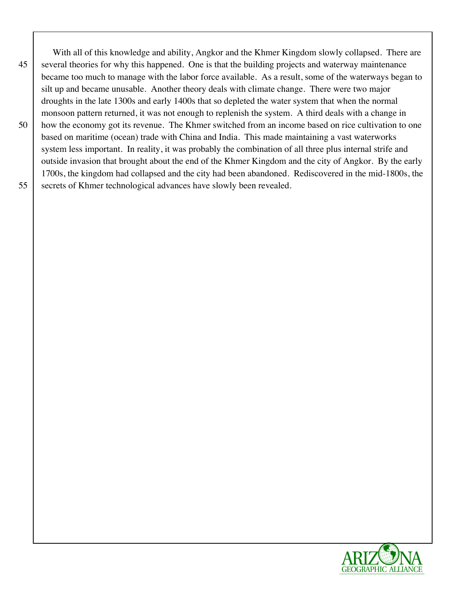With all of this knowledge and ability, Angkor and the Khmer Kingdom slowly collapsed. There are 45 several theories for why this happened. One is that the building projects and waterway maintenance became too much to manage with the labor force available. As a result, some of the waterways began to silt up and became unusable. Another theory deals with climate change. There were two major droughts in the late 1300s and early 1400s that so depleted the water system that when the normal monsoon pattern returned, it was not enough to replenish the system. A third deals with a change in 50 how the economy got its revenue. The Khmer switched from an income based on rice cultivation to one based on maritime (ocean) trade with China and India. This made maintaining a vast waterworks system less important. In reality, it was probably the combination of all three plus internal strife and outside invasion that brought about the end of the Khmer Kingdom and the city of Angkor. By the early 1700s, the kingdom had collapsed and the city had been abandoned. Rediscovered in the mid-1800s, the 55 secrets of Khmer technological advances have slowly been revealed.

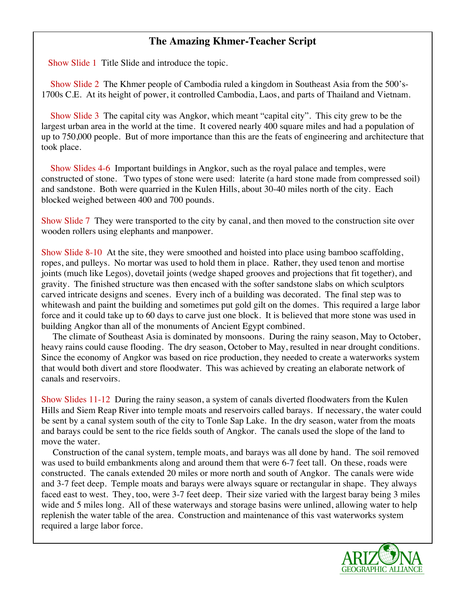### **The Amazing Khmer-Teacher Script**

Show Slide 1 Title Slide and introduce the topic.

Show Slide 2 The Khmer people of Cambodia ruled a kingdom in Southeast Asia from the 500's-1700s C.E. At its height of power, it controlled Cambodia, Laos, and parts of Thailand and Vietnam. 62

Show Slide 3 The capital city was Angkor, which meant "capital city". This city grew to be the largest urban area in the world at the time. It covered nearly 400 square miles and had a population of up to 750,000 people. But of more importance than this are the feats of engineering and architecture that 66 took place.

Show Slides 4-6 Important buildings in Angkor, such as the royal palace and temples, were constructed of stone. Two types of stone were used: laterite (a hard stone made from compressed soil) and sandstone. Both were quarried in the Kulen Hills, about 30-40 miles north of the city. Each 71 blocked weighed between 400 and 700 pounds.

Show Slide 7 They were transported to the city by canal, and then moved to the construction site over wooden rollers using elephants and manpower.

Show Slide 8-10 At the site, they were smoothed and hoisted into place using bamboo scaffolding, ropes, and pulleys. No mortar was used to hold them in place. Rather, they used tenon and mortise joints (much like Legos), dovetail joints (wedge shaped grooves and projections that fit together), and 79 gravity. The finished structure was then encased with the softer sandstone slabs on which sculptors 80 carved intricate designs and scenes. Every inch of a building was decorated. The final step was to whitewash and paint the building and sometimes put gold gilt on the domes. This required a large labor force and it could take up to 60 days to carve just one block. It is believed that more stone was used in building Angkor than all of the monuments of Ancient Egypt combined.

The climate of Southeast Asia is dominated by monsoons. During the rainy season, May to October, heavy rains could cause flooding. The dry season, October to May, resulted in near drought conditions. Since the economy of Angkor was based on rice production, they needed to create a waterworks system that would both divert and store floodwater. This was achieved by creating an elaborate network of 88 canals and reservoirs.

Show Slides 11-12 During the rainy season, a system of canals diverted floodwaters from the Kulen Hills and Siem Reap River into temple moats and reservoirs called barays. If necessary, the water could 92 be sent by a canal system south of the city to Tonle Sap Lake. In the dry season, water from the moats and barays could be sent to the rice fields south of Angkor. The canals used the slope of the land to move the water.

Construction of the canal system, temple moats, and barays was all done by hand. The soil removed was used to build embankments along and around them that were 6-7 feet tall. On these, roads were constructed. The canals extended 20 miles or more north and south of Angkor. The canals were wide and 3-7 feet deep. Temple moats and barays were always square or rectangular in shape. They always faced east to west. They, too, were 3-7 feet deep. Their size varied with the largest baray being 3 miles wide and 5 miles long. All of these waterways and storage basins were unlined, allowing water to help replenish the water table of the area. Construction and maintenance of this vast waterworks system required a large labor force. The same state of the state of the state of the state of the state of the state of the state of the state of the state of the state of the state of the state of the state of the state of the s

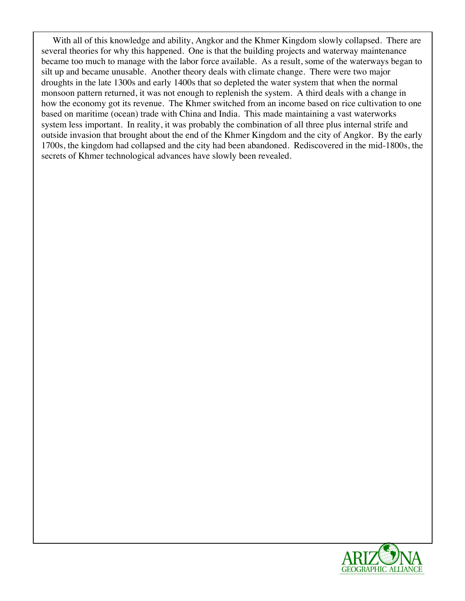With all of this knowledge and ability, Angkor and the Khmer Kingdom slowly collapsed. There are several theories for why this happened. One is that the building projects and waterway maintenance became too much to manage with the labor force available. As a result, some of the waterways began to silt up and became unusable. Another theory deals with climate change. There were two major droughts in the late 1300s and early 1400s that so depleted the water system that when the normal monsoon pattern returned, it was not enough to replenish the system. A third deals with a change in how the economy got its revenue. The Khmer switched from an income based on rice cultivation to one based on maritime (ocean) trade with China and India. This made maintaining a vast waterworks system less important. In reality, it was probably the combination of all three plus internal strife and outside invasion that brought about the end of the Khmer Kingdom and the city of Angkor. By the early 1700s, the kingdom had collapsed and the city had been abandoned. Rediscovered in the mid-1800s, the 114 secrets of Khmer technological advances have slowly been revealed.

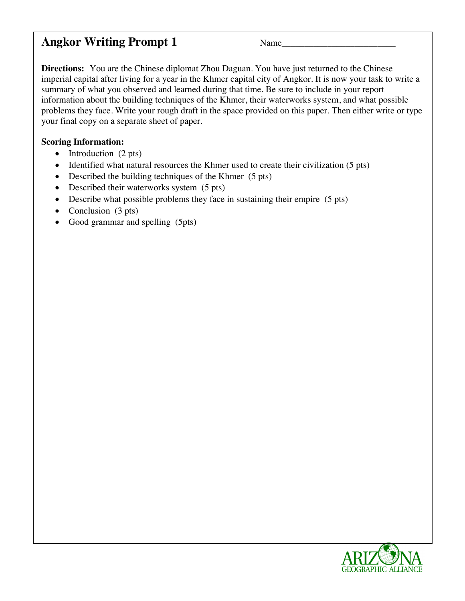### **Angkor Writing Prompt 1**  $\blacksquare$   $\blacksquare$   $\blacksquare$   $\blacksquare$   $\blacksquare$  1

**Directions:** You are the Chinese diplomat Zhou Daguan. You have just returned to the Chinese imperial capital after living for a year in the Khmer capital city of Angkor. It is now your task to write a summary of what you observed and learned during that time. Be sure to include in your report information about the building techniques of the Khmer, their waterworks system, and what possible problems they face. Write your rough draft in the space provided on this paper. Then either write or type your final copy on a separate sheet of paper.

### **Scoring Information:** 126 *No.* **226** *No.* **226** *No. 226 <b>No. 226 <i>No.* **226** *No.* **226** *No.* **226** *No. 226 No. 226 No. 226 No. 226 No. 226 No. 226 No. 226 No. 226 No. 226 No. 226 No. 226 No. 226 No. 226 No. 226 No. 226 No. 2*

- Introduction  $(2 \text{ pts})$
- Identified what natural resources the Khmer used to create their civilization (5 pts)
- Described the building techniques of the Khmer  $(5 \text{ pts})$
- Described their waterworks system  $(5 \text{ pts})$
- Describe what possible problems they face in sustaining their empire (5 pts)
- Conclusion  $(3 \text{ pts})$
- Good grammar and spelling (5pts) 1333 and 1333 and 1333 and 1333 and 1333 and 1333 and 1333 and 1333 and 1333 and 1333 and 1333 and 1333 and 1333 and 1333 and 1333 and 1333 and 1333 and 1333 and 1333 and 1333 and 1333 an

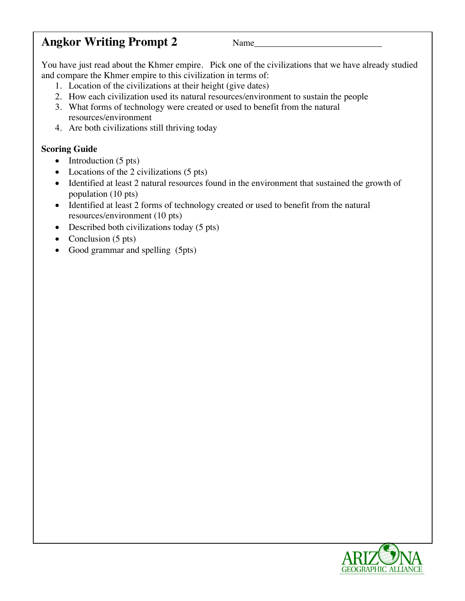## **Angkor Writing Prompt 2** Name\_\_\_\_\_\_\_\_\_\_\_\_\_\_\_\_\_\_\_\_\_\_\_\_\_\_\_\_ 135

You have just read about the Khmer empire. Pick one of the civilizations that we have already studied and compare the Khmer empire to this civilization in terms of:

- 1. Location of the civilizations at their height (give dates)
- 2. How each civilization used its natural resources/environment to sustain the people
- 3. What forms of technology were created or used to benefit from the natural resources/environment 1422 and 1422 and 1422 and 1422 and 1422 and 1422 and 1422 and 1422 and 1422 and 1422 and 1422 and 1422 and 1422 and 1422 and 1422 and 1422 and 1422 and 1422 and 1422 and 1422 and 1422 and 1422 and 14
- 4. Are both civilizations still thriving today

#### **Scoring Guide** 145 and 25 and 265 and 265 and 265 and 265 and 265 and 265 and 265 and 265 and 265 and 265 and 265 and 265 and 265 and 265 and 265 and 265 and 265 and 265 and 265 and 265 and 265 and 265 and 265 and 265 and

- Introduction  $(5 \text{ pts})$
- Locations of the 2 civilizations  $(5 \text{ pts})$
- Identified at least 2 natural resources found in the environment that sustained the growth of population (10 pts) 1499 and 2008 and 2009 and 2009 and 2009 and 2009 and 2009 and 2009 and 2009 and 2009 and 20
- Identified at least 2 forms of technology created or used to benefit from the natural resources/environment (10 pts) 151
- Described both civilizations today  $(5 \text{ pts})$
- Conclusion  $(5 \text{ pts})$
- Good grammar and spelling (5pts) 1544 and 1545 and 1545 and 1545 and 1545 and 1546 and 1546 and 1546 and 154

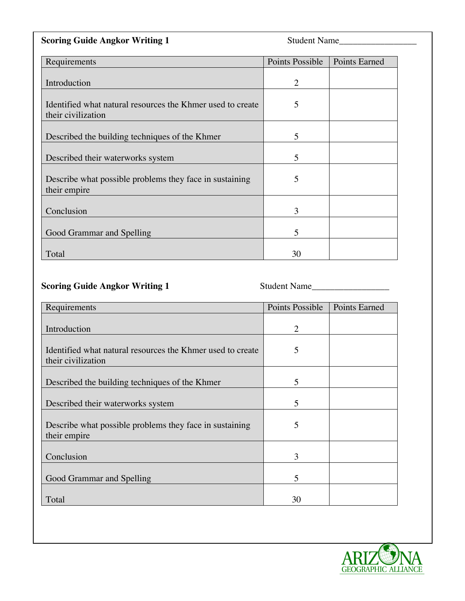| <b>Scoring Guide Angkor Writing 1</b>                                            | Student Name                    |
|----------------------------------------------------------------------------------|---------------------------------|
| Requirements                                                                     | Points Possible   Points Earned |
| Introduction                                                                     |                                 |
| Identified what natural resources the Khmer used to create<br>their civilization |                                 |
| Described the building techniques of the Khmer                                   |                                 |
| Described their waterworks system                                                |                                 |
| Describe what possible problems they face in sustaining<br>their empire          |                                 |
| Conclusion                                                                       |                                 |
| Good Grammar and Spelling                                                        |                                 |
| Total                                                                            | 30                              |

## **Scoring Guide Angkor Writing 1** Student Name\_\_\_\_\_\_\_\_\_\_\_\_\_\_\_\_\_ 161

| Requirements                                                                     | Points Possible | <b>Points Earned</b> |
|----------------------------------------------------------------------------------|-----------------|----------------------|
| Introduction                                                                     | $\overline{2}$  |                      |
| Identified what natural resources the Khmer used to create<br>their civilization | 5               |                      |
| Described the building techniques of the Khmer                                   | 5               |                      |
| Described their waterworks system                                                | 5               |                      |
| Describe what possible problems they face in sustaining<br>their empire          | 5               |                      |
| Conclusion                                                                       | 3               |                      |
| Good Grammar and Spelling                                                        | 5               |                      |
| Total                                                                            | 30              |                      |